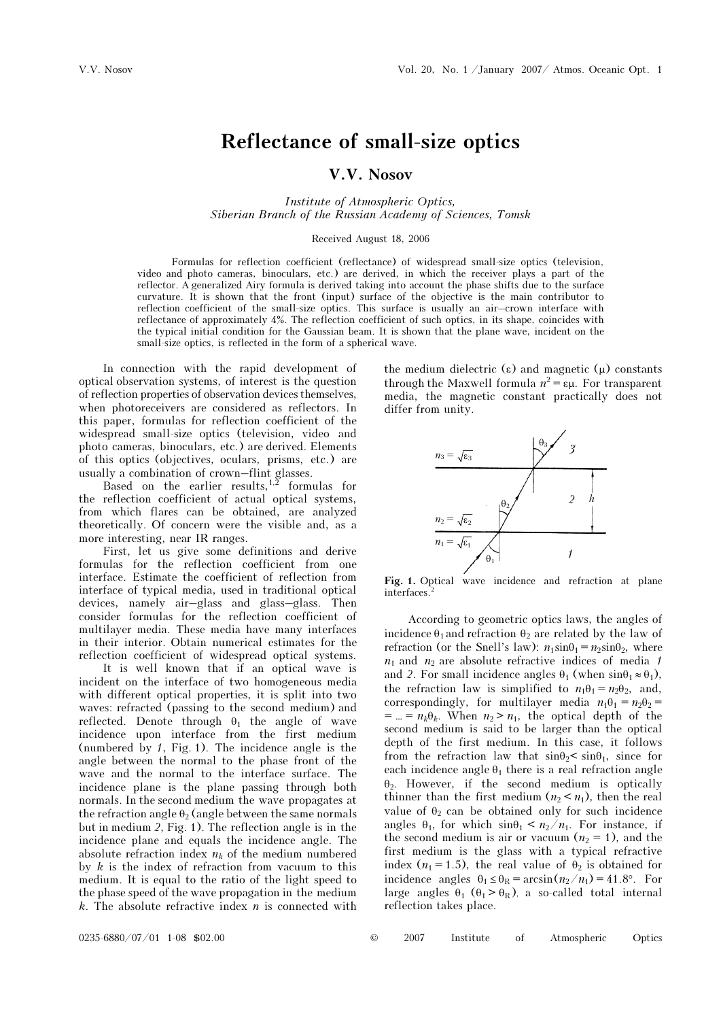## Reflectance of small-size optics

## V.V. Nosov

Institute of Atmospheric Optics, Siberian Branch of the Russian Academy of Sciences, Tomsk

## Received August 18, 2006

Formulas for reflection coefficient (reflectance) of widespread small-size optics (television, video and photo cameras, binoculars, etc.) are derived, in which the receiver plays a part of the reflector. A generalized Airy formula is derived taking into account the phase shifts due to the surface curvature. It is shown that the front (input) surface of the objective is the main contributor to reflection coefficient of the small-size optics. This surface is usually an air–crown interface with reflectance of approximately 4%. The reflection coefficient of such optics, in its shape, coincides with the typical initial condition for the Gaussian beam. It is shown that the plane wave, incident on the small-size optics, is reflected in the form of a spherical wave.

In connection with the rapid development of optical observation systems, of interest is the question of reflection properties of observation devices themselves, when photoreceivers are considered as reflectors. In this paper, formulas for reflection coefficient of the widespread small-size optics (television, video and photo cameras, binoculars, etc.) are derived. Elements of this optics (objectives, oculars, prisms, etc.) are usually a combination of crown–flint glasses.

Based on the earlier results,  $1,2$  formulas for the reflection coefficient of actual optical systems, from which flares can be obtained, are analyzed theoretically. Of concern were the visible and, as a more interesting, near IR ranges.

First, let us give some definitions and derive formulas for the reflection coefficient from one interface. Estimate the coefficient of reflection from interface of typical media, used in traditional optical devices, namely air–glass and glass–glass. Then consider formulas for the reflection coefficient of multilayer media. These media have many interfaces in their interior. Obtain numerical estimates for the reflection coefficient of widespread optical systems.

 It is well known that if an optical wave is incident on the interface of two homogeneous media with different optical properties, it is split into two waves: refracted (passing to the second medium) and reflected. Denote through  $\theta_1$  the angle of wave incidence upon interface from the first medium (numbered by 1, Fig. 1). The incidence angle is the angle between the normal to the phase front of the wave and the normal to the interface surface. The incidence plane is the plane passing through both normals. In the second medium the wave propagates at the refraction angle  $\theta_2$  (angle between the same normals but in medium 2, Fig. 1). The reflection angle is in the incidence plane and equals the incidence angle. The absolute refraction index  $n_k$  of the medium numbered by  $k$  is the index of refraction from vacuum to this medium. It is equal to the ratio of the light speed to the phase speed of the wave propagation in the medium k. The absolute refractive index  $n$  is connected with

the medium dielectric (ε) and magnetic  $(μ)$  constants through the Maxwell formula  $n^2 = εμ$ . For transparent media, the magnetic constant practically does not differ from unity.



Fig. 1. Optical wave incidence and refraction at plane interfaces

According to geometric optics laws, the angles of incidence  $\theta_1$  and refraction  $\theta_2$  are related by the law of refraction (or the Snell's law):  $n_1 \sin\theta_1 = n_2 \sin\theta_2$ , where  $n_1$  and  $n_2$  are absolute refractive indices of media 1 and 2. For small incidence angles  $\theta_1$  (when  $\sin\theta_1 \approx \theta_1$ ), the refraction law is simplified to  $n_1\theta_1 = n_2\theta_2$ , and, correspondingly, for multilayer media  $n_1\theta_1 = n_2\theta_2 =$  $= ... = n_k \theta_k$ . When  $n_2 > n_1$ , the optical depth of the second medium is said to be larger than the optical depth of the first medium. In this case, it follows from the refraction law that  $\sin\theta_2 \leq \sin\theta_1$ , since for each incidence angle  $\theta_1$  there is a real refraction angle  $\theta_2$ . However, if the second medium is optically thinner than the first medium  $(n_2 < n_1)$ , then the real value of  $\theta_2$  can be obtained only for such incidence angles  $\theta_1$ , for which  $\sin\theta_1 \leq n_2/n_1$ . For instance, if the second medium is air or vacuum  $(n_2 = 1)$ , and the first medium is the glass with a typical refractive index ( $n_1 = 1.5$ ), the real value of  $\theta_2$  is obtained for incidence angles  $\theta_1 \leq \theta_R = \arcsin((n_2/n_1) = 41.8^\circ)$ . For large angles  $\theta_1$  ( $\theta_1 > \theta_R$ ), a so-called total internal reflection takes place.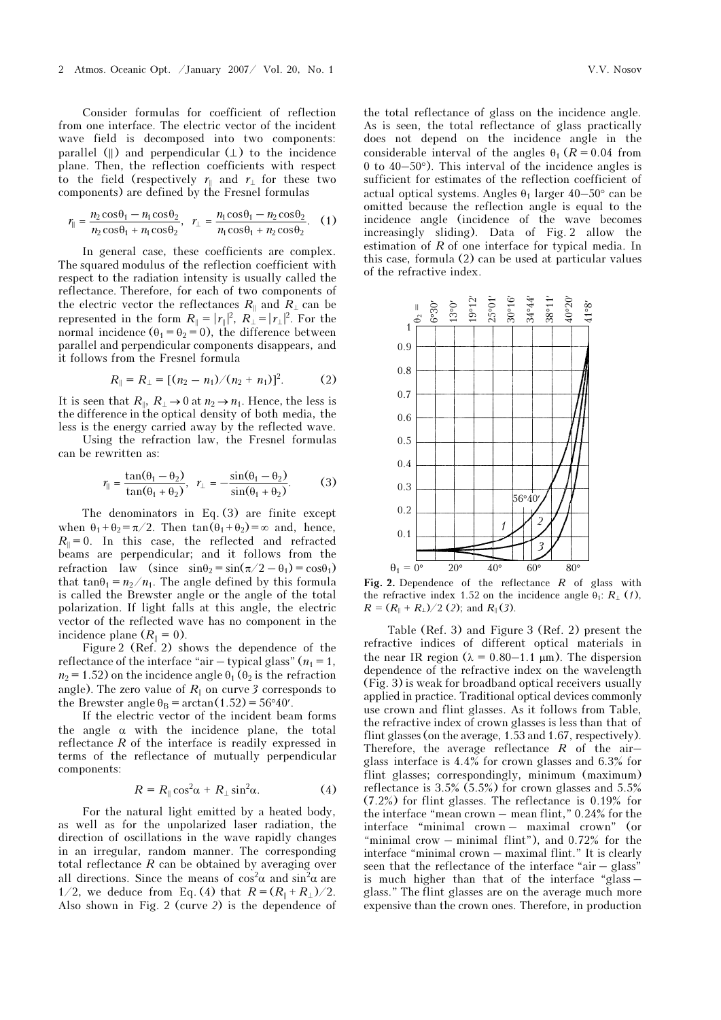Consider formulas for coefficient of reflection from one interface. The electric vector of the incident wave field is decomposed into two components: parallel  $(\|)$  and perpendicular  $(\bot)$  to the incidence plane. Then, the reflection coefficients with respect to the field (respectively  $r_{\parallel}$  and  $r_{\perp}$  for these two components) are defined by the Fresnel formulas

$$
r_{\parallel} = \frac{n_2 \cos \theta_1 - n_1 \cos \theta_2}{n_2 \cos \theta_1 + n_1 \cos \theta_2}, \quad r_{\perp} = \frac{n_1 \cos \theta_1 - n_2 \cos \theta_2}{n_1 \cos \theta_1 + n_2 \cos \theta_2}.
$$
 (1)

In general case, these coefficients are complex. The squared modulus of the reflection coefficient with respect to the radiation intensity is usually called the reflectance. Therefore, for each of two components of the electric vector the reflectances  $R_{\parallel}$  and  $R_{\perp}$  can be represented in the form  $R_{\parallel} = |r_{\parallel}|^2$ ,  $R_{\perp} = |r_{\perp}|^2$ . For the normal incidence  $(\theta_1 = \theta_2 = 0)$ , the difference between parallel and perpendicular components disappears, and it follows from the Fresnel formula

$$
R_{\parallel} = R_{\perp} = [(n_2 - n_1)/(n_2 + n_1)]^2. \tag{2}
$$

It is seen that  $R_{\parallel}$ ,  $R_{\perp} \rightarrow 0$  at  $n_2 \rightarrow n_1$ . Hence, the less is the difference in the optical density of both media, the less is the energy carried away by the reflected wave.

 Using the refraction law, the Fresnel formulas can be rewritten as:

$$
r_{\parallel} = \frac{\tan(\theta_1 - \theta_2)}{\tan(\theta_1 + \theta_2)}, \ \ r_{\perp} = -\frac{\sin(\theta_1 - \theta_2)}{\sin(\theta_1 + \theta_2)}. \tag{3}
$$

The denominators in Eq. (3) are finite except when  $\theta_1 + \theta_2 = \pi/2$ . Then  $\tan(\theta_1 + \theta_2) = \infty$  and, hence,  $R_{\parallel} = 0$ . In this case, the reflected and refracted beams are perpendicular; and it follows from the refraction law (since  $\sin\theta_2 = \sin(\pi/2 - \theta_1) = \cos\theta_1$ ) that tan $\theta_1 = n_2/n_1$ . The angle defined by this formula is called the Brewster angle or the angle of the total polarization. If light falls at this angle, the electric vector of the reflected wave has no component in the incidence plane  $(R_{\parallel} = 0)$ .

Figure 2 (Ref. 2) shows the dependence of the reflectance of the interface "air – typical glass" ( $n_1 = 1$ ,  $n_2$  = 1.52) on the incidence angle  $\theta_1$  ( $\theta_2$  is the refraction angle). The zero value of  $R_{\parallel}$  on curve 3 corresponds to the Brewster angle  $\theta_B = \arctan(1.52) = 56°40'$ .

If the electric vector of the incident beam forms the angle  $\alpha$  with the incidence plane, the total reflectance R of the interface is readily expressed in terms of the reflectance of mutually perpendicular components:

$$
R = R_{\parallel} \cos^2 \alpha + R_{\perp} \sin^2 \alpha. \tag{4}
$$

For the natural light emitted by a heated body, as well as for the unpolarized laser radiation, the direction of oscillations in the wave rapidly changes in an irregular, random manner. The corresponding total reflectance  $R$  can be obtained by averaging over all directions. Since the means of  $\cos^2 \alpha$  and  $\sin^2 \alpha$  are 1/2, we deduce from Eq. (4) that  $R = (R_{\parallel} + R_{\perp})/2$ . Also shown in Fig. 2 (curve 2) is the dependence of

the total reflectance of glass on the incidence angle. As is seen, the total reflectance of glass practically does not depend on the incidence angle in the considerable interval of the angles  $\theta_1$  ( $R = 0.04$  from 0 to 40–50°). This interval of the incidence angles is sufficient for estimates of the reflection coefficient of actual optical systems. Angles  $\theta_1$  larger  $40-50^\circ$  can be omitted because the reflection angle is equal to the incidence angle (incidence of the wave becomes increasingly sliding). Data of Fig. 2 allow the estimation of R of one interface for typical media. In this case, formula (2) can be used at particular values of the refractive index.



Fig. 2. Dependence of the reflectance  $R$  of glass with the refractive index 1.52 on the incidence angle  $\theta_1$ :  $R_{\perp}$  (1),  $R = (R_{\parallel} + R_{\perp})/2$  (2); and  $R_{\parallel}$  (3).

Table (Ref. 3) and Figure 3 (Ref. 2) present the refractive indices of different optical materials in the near IR region ( $\lambda = 0.80 - 1.1$  μm). The dispersion dependence of the refractive index on the wavelength (Fig. 3) is weak for broadband optical receivers usually applied in practice. Traditional optical devices commonly use crown and flint glasses. As it follows from Table, the refractive index of crown glasses is less than that of flint glasses (on the average, 1.53 and 1.67, respectively). Therefore, the average reflectance  $R$  of the airglass interface is 4.4% for crown glasses and 6.3% for flint glasses; correspondingly, minimum (maximum) reflectance is 3.5% (5.5%) for crown glasses and 5.5% (7.2%) for flint glasses. The reflectance is 0.19% for the interface "mean crown – mean flint," 0.24% for the interface "minimal crown – maximal crown" (or "minimal crow  $-$  minimal flint"), and 0.72% for the interface "minimal crown – maximal flint." It is clearly seen that the reflectance of the interface "air – glass" is much higher than that of the interface "glass – glass." The flint glasses are on the average much more expensive than the crown ones. Therefore, in production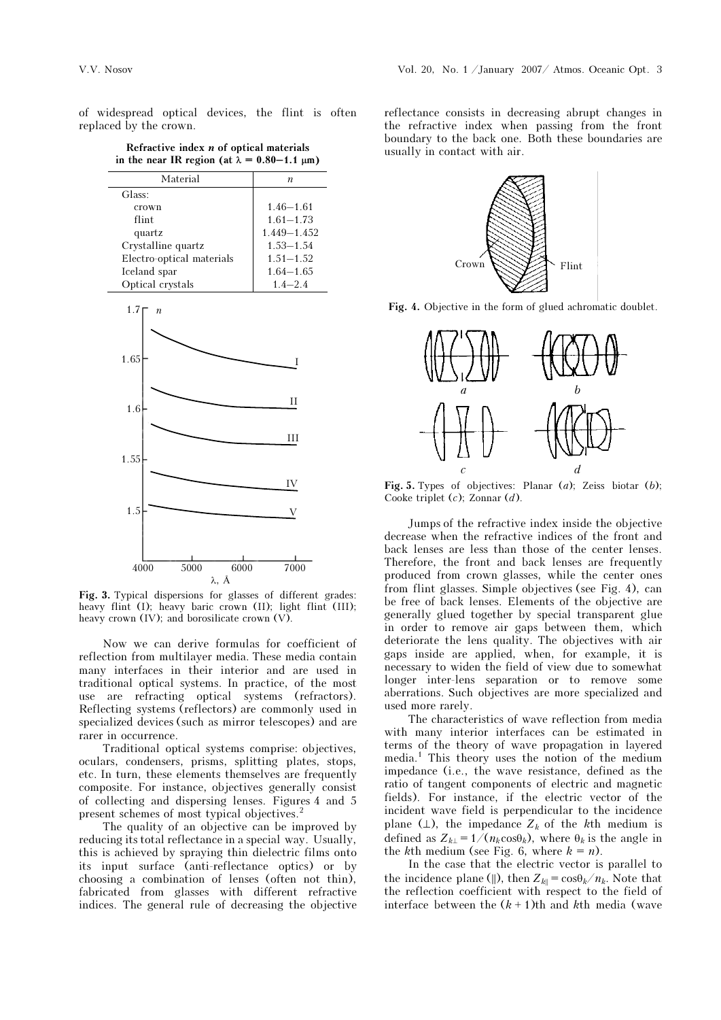of widespread optical devices, the flint is often replaced by the crown.

Refractive index  $n$  of optical materials in the near IR region (at  $\lambda = 0.80 - 1.1 \mu m$ )

| Material                  | n               |
|---------------------------|-----------------|
| Glass:                    |                 |
| crown                     | $1.46 - 1.61$   |
| flint                     | $1.61 - 1.73$   |
| quartz                    | $1.449 - 1.452$ |
| Crystalline quartz        | $1.53 - 1.54$   |
| Electro-optical materials | $1.51 - 1.52$   |
| Iceland spar              | $1.64 - 1.65$   |
| Optical crystals          | $1.4 - 2.4$     |
|                           |                 |



Fig. 3. Typical dispersions for glasses of different grades: heavy flint (I); heavy baric crown (II); light flint (III); heavy crown (IV); and borosilicate crown (V).

Now we can derive formulas for coefficient of reflection from multilayer media. These media contain many interfaces in their interior and are used in traditional optical systems. In practice, of the most use are refracting optical systems (refractors). Reflecting systems (reflectors) are commonly used in specialized devices (such as mirror telescopes) and are rarer in occurrence.

Traditional optical systems comprise: objectives, oculars, condensers, prisms, splitting plates, stops, etc. In turn, these elements themselves are frequently composite. For instance, objectives generally consist of collecting and dispersing lenses. Figures 4 and 5 present schemes of most typical objectives.<sup>2</sup>

The quality of an objective can be improved by reducing its total reflectance in a special way. Usually, this is achieved by spraying thin dielectric films onto its input surface (anti-reflectance optics) or by choosing a combination of lenses (often not thin), fabricated from glasses with different refractive indices. The general rule of decreasing the objective reflectance consists in decreasing abrupt changes in the refractive index when passing from the front boundary to the back one. Both these boundaries are usually in contact with air.



Fig. 4. Objective in the form of glued achromatic doublet.



Fig. 5. Types of objectives: Planar  $(a)$ ; Zeiss biotar  $(b)$ ; Cooke triplet  $(c)$ ; Zonnar  $(d)$ .

Jumps of the refractive index inside the objective decrease when the refractive indices of the front and back lenses are less than those of the center lenses. Therefore, the front and back lenses are frequently produced from crown glasses, while the center ones from flint glasses. Simple objectives (see Fig. 4), can be free of back lenses. Elements of the objective are generally glued together by special transparent glue in order to remove air gaps between them, which deteriorate the lens quality. The objectives with air gaps inside are applied, when, for example, it is necessary to widen the field of view due to somewhat longer inter-lens separation or to remove some aberrations. Such objectives are more specialized and used more rarely.

The characteristics of wave reflection from media with many interior interfaces can be estimated in terms of the theory of wave propagation in layered media.<sup>1</sup> This theory uses the notion of the medium impedance (i.e., the wave resistance, defined as the ratio of tangent components of electric and magnetic fields). For instance, if the electric vector of the incident wave field is perpendicular to the incidence plane ( $\perp$ ), the impedance  $Z_k$  of the kth medium is defined as  $Z_{k\perp} = 1/(n_k \cos \theta_k)$ , where  $\theta_k$  is the angle in the kth medium (see Fig. 6, where  $k = n$ ).

In the case that the electric vector is parallel to the incidence plane (||), then  $Z_{k\parallel} = \cos{\theta_k}/n_k$ . Note that the reflection coefficient with respect to the field of interface between the  $(k + 1)$ th and kth media (wave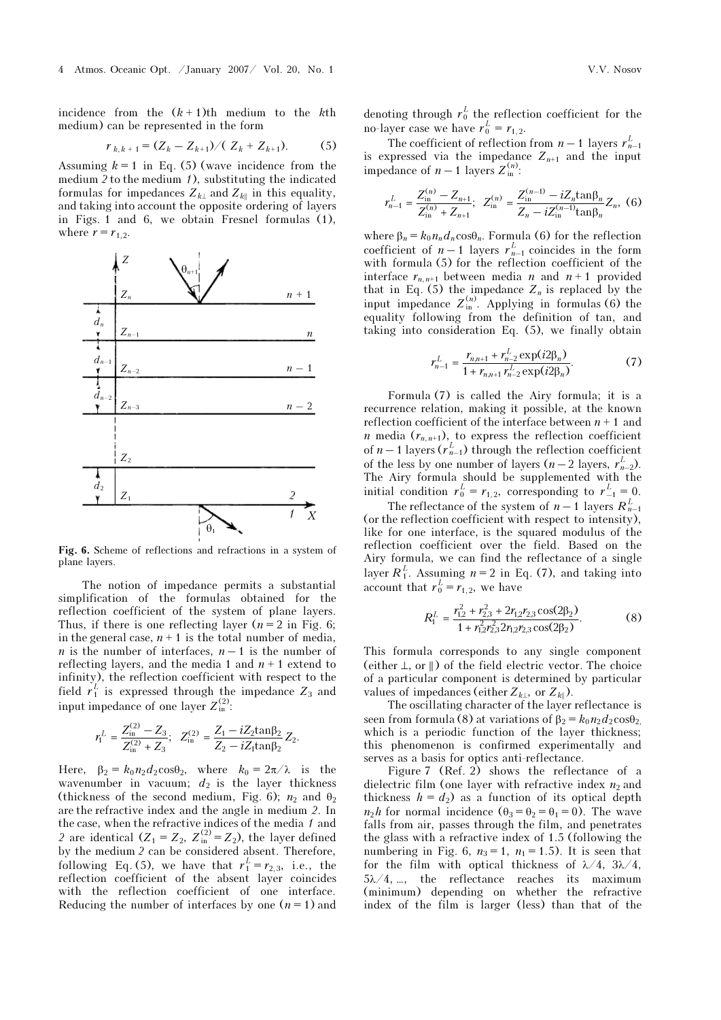incidence from the  $(k + 1)$ th medium to the kth medium) can be represented in the form

$$
r_{k,k+1} = (Z_k - Z_{k+1}) / (Z_k + Z_{k+1}).
$$
 (5)

Assuming  $k = 1$  in Eq. (5) (wave incidence from the medium  $2$  to the medium  $1$ , substituting the indicated formulas for impedances  $Z_{k\perp}$  and  $Z_{k\parallel}$  in this equality, and taking into account the opposite ordering of layers in Figs. 1 and 6, we obtain Fresnel formulas (1), where  $r = r_{1,2}$ .



Fig. 6. Scheme of reflections and refractions in a system of plane layers.

The notion of impedance permits a substantial simplification of the formulas obtained for the reflection coefficient of the system of plane layers. Thus, if there is one reflecting layer  $(n = 2$  in Fig. 6; in the general case,  $n + 1$  is the total number of media, *n* is the number of interfaces,  $n-1$  is the number of reflecting layers, and the media 1 and  $n + 1$  extend to infinity), the reflection coefficient with respect to the field  $r_1^L$  is expressed through the impedance  $Z_3$  and input impedance of one layer  $Z_{\text{in}}^{(2)}$ :

$$
r_1^L=\frac{Z_{\rm in}^{(2)}-Z_3}{Z_{\rm in}^{(2)}+Z_3};~~Z_{\rm in}^{(2)}=\frac{Z_1-iZ_2{\rm tan}\beta_2}{Z_2-iZ_1{\rm tan}\beta_2}Z_2.
$$

Here,  $\beta_2 = k_0 n_2 d_2 \cos{\theta_2}$ , where  $k_0 = 2\pi/\lambda$  is the wavenumber in vacuum;  $d_2$  is the layer thickness (thickness of the second medium, Fig. 6);  $n_2$  and  $\theta_2$ are the refractive index and the angle in medium 2. In the case, when the refractive indices of the media 1 and 2 are identical  $(Z_1 = Z_2, Z_{\text{in}}^{(2)} = Z_2)$ , the layer defined by the medium 2 can be considered absent. Therefore, following Eq. (5), we have that  $r_1^L = r_{2,3}$ , i.e., the reflection coefficient of the absent layer coincides with the reflection coefficient of one interface. Reducing the number of interfaces by one  $(n = 1)$  and

denoting through  $r_0^L$  the reflection coefficient for the no-layer case we have  $r_0^L = r_{1,2}$ .

The coefficient of reflection from  $n-1$  layers  $r_{n-1}^L$ is expressed via the impedance  $Z_{n+1}$  and the input impedance of  $n-1$  layers  $Z_{\text{in}}^{(n)}$ :

$$
r_{n-1}^{L} = \frac{Z_{\text{in}}^{(n)} - Z_{n+1}}{Z_{\text{in}}^{(n)} + Z_{n+1}}; \ \ Z_{\text{in}}^{(n)} = \frac{Z_{\text{in}}^{(n-1)} - iZ_n \tan \beta_n}{Z_n - iZ_{\text{in}}^{(n-1)} \tan \beta_n} Z_n, \ (6)
$$

where  $\beta_n = k_0 n_n d_n \cos \theta_n$ . Formula (6) for the reflection coefficient of  $n-1$  layers  $r_{n-1}^L$  coincides in the form with formula (5) for the reflection coefficient of the interface  $r_{n,n+1}$  between media n and  $n+1$  provided that in Eq. (5) the impedance  $Z_n$  is replaced by the input impedance  $Z_{\text{in}}^{(n)}$ . Applying in formulas (6) the equality following from the definition of tan, and taking into consideration Eq. (5), we finally obtain

$$
r_{n-1}^L = \frac{r_{n,n+1} + r_{n-2}^L \exp(i2\beta_n)}{1 + r_{n,n+1} r_{n-2}^L \exp(i2\beta_n)}.
$$
 (7)

Formula (7) is called the Airy formula; it is a recurrence relation, making it possible, at the known reflection coefficient of the interface between  $n + 1$  and *n* media  $(r_{n,n+1})$ , to express the reflection coefficient of  $n-1$  layers  $(r_{n-1}^L)$  through the reflection coefficient of the less by one number of layers  $(n-2)$  layers,  $r_{n-2}^L$ ). The Airy formula should be supplemented with the initial condition  $r_0^L = r_{1,2}$ , corresponding to  $r_{-1}^L = 0$ .

The reflectance of the system of  $n-1$  layers  $R_{n-1}^L$ (or the reflection coefficient with respect to intensity), like for one interface, is the squared modulus of the reflection coefficient over the field. Based on the Airy formula, we can find the reflectance of a single layer  $R_1^L$ . Assuming  $n = 2$  in Eq. (7), and taking into account that  $r_0^L = r_{1,2}$ , we have

$$
R_1^L = \frac{r_{1,2}^2 + r_{2,3}^2 + 2r_{1,2}r_{2,3}\cos(2\beta_2)}{1 + r_{1,2}^2 r_{2,3}^2 2r_{1,2}r_{2,3}\cos(2\beta_2)}.
$$
 (8)

This formula corresponds to any single component (either  $\perp$ , or  $\parallel$ ) of the field electric vector. The choice of a particular component is determined by particular values of impedances (either  $Z_{k\perp}$ , or  $Z_{k\parallel}$ ).

The oscillating character of the layer reflectance is seen from formula (8) at variations of  $\beta_2 = k_0 n_2 d_2 \cos \theta_2$ . which is a periodic function of the layer thickness; this phenomenon is confirmed experimentally and serves as a basis for optics anti-reflectance.

Figure 7 (Ref. 2) shows the reflectance of a dielectric film (one layer with refractive index  $n_2$  and thickness  $h = d_2$  as a function of its optical depth  $n_2h$  for normal incidence  $(\theta_3 = \theta_2 = \theta_1 = 0)$ . The wave falls from air, passes through the film, and penetrates the glass with a refractive index of 1.5 (following the numbering in Fig. 6,  $n_3 = 1$ ,  $n_1 = 1.5$ ). It is seen that for the film with optical thickness of  $\lambda/4$ ,  $3\lambda/4$ , 5λ/4, …, the reflectance reaches its maximum (minimum) depending on whether the refractive index of the film is larger (less) than that of the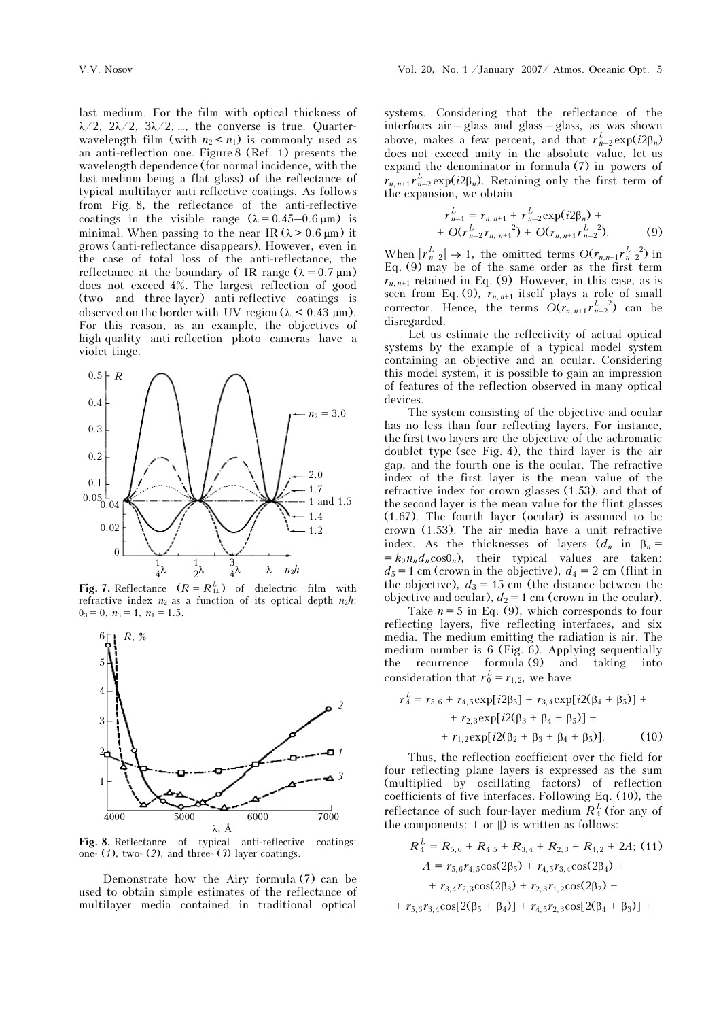last medium. For the film with optical thickness of λ/2, 2λ/2, 3λ/2, …, the converse is true. Quarterwavelength film (with  $n_2 < n_1$ ) is commonly used as an anti-reflection one. Figure 8 (Ref. 1) presents the wavelength dependence (for normal incidence, with the last medium being a flat glass) of the reflectance of typical multilayer anti-reflective coatings. As follows from Fig. 8, the reflectance of the anti-reflective coatings in the visible range  $(\lambda = 0.45 - 0.6 \,\mu\text{m})$  is minimal. When passing to the near IR  $(\lambda > 0.6 \,\mu\text{m})$  it grows (anti-reflectance disappears). However, even in the case of total loss of the anti-reflectance, the reflectance at the boundary of IR range  $(\lambda = 0.7 \,\text{\mu m})$ does not exceed 4%. The largest reflection of good (two- and three-layer) anti-reflective coatings is observed on the border with UV region  $(\lambda \le 0.43 \mu m)$ . For this reason, as an example, the objectives of high-quality anti-reflection photo cameras have a violet tinge.



**Fig. 7.** Reflectance  $(R = R_{1\perp}^L)$  of dielectric film with refractive index  $n_2$  as a function of its optical denth  $n_2 h$ . refractive index  $n_2$  as a function of its optical depth  $n_2h$ :  $\theta_3 = 0$ ,  $n_3 = 1$ ,  $n_1 = 1.5$ .



Fig. 8. Reflectance of typical anti-reflective coatings: one-  $(1)$ , two-  $(2)$ , and three-  $(3)$  layer coatings.

Demonstrate how the Airy formula (7) can be used to obtain simple estimates of the reflectance of multilayer media contained in traditional optical

systems. Considering that the reflectance of the interfaces air – glass and glass – glass, as was shown above, makes a few percent, and that  $r_{n-2}^L \exp(i2\beta_n)$ does not exceed unity in the absolute value, let us expand the denominator in formula (7) in powers of  $r_{n,n+1}r_{n-2}^{L}$  exp( $i2\beta_n$ ). Retaining only the first term of the expansion, we obtain

$$
r_{n-1}^{L} = r_{n, n+1} + r_{n-2}^{L} \exp(i2\beta_{n}) +
$$
  
+  $O(r_{n-2}^{L} r_{n, n+1}^{2}) + O(r_{n, n+1} r_{n-2}^{L-2}).$  (9)

When  $|r_{n-2}^L| \to 1$ , the omitted terms  $O(r_{n,n+1}r_{n-2}^L)$  in Eq. (9) may be of the same order as the first term  $r_{n,n+1}$  retained in Eq. (9). However, in this case, as is seen from Eq. (9),  $r_{n,n+1}$  itself plays a role of small corrector. Hence, the terms  $O(r_{n,n+1}r_{n-2}^L)^2$  can be disregarded.

Let us estimate the reflectivity of actual optical systems by the example of a typical model system containing an objective and an ocular. Considering this model system, it is possible to gain an impression of features of the reflection observed in many optical devices.

The system consisting of the objective and ocular has no less than four reflecting layers. For instance, the first two layers are the objective of the achromatic doublet type (see Fig. 4), the third layer is the air gap, and the fourth one is the ocular. The refractive index of the first layer is the mean value of the refractive index for crown glasses (1.53), and that of the second layer is the mean value for the flint glasses (1.67). The fourth layer (ocular) is assumed to be crown (1.53). The air media have a unit refractive index. As the thicknesses of layers  $(d_n$  in  $\beta_n =$  $= k_0 n_n d_n \cos\theta_n$ , their typical values are taken:  $d_5$  = 1 cm (crown in the objective),  $d_4$  = 2 cm (flint in the objective),  $d_3 = 15$  cm (the distance between the objective and ocular),  $d_2 = 1$  cm (crown in the ocular).

Take  $n = 5$  in Eq. (9), which corresponds to four reflecting layers, five reflecting interfaces, and six media. The medium emitting the radiation is air. The medium number is 6 (Fig. 6). Applying sequentially the recurrence formula (9) and taking into consideration that  $r_0^L = r_{1,2}$ , we have

$$
r_4^L = r_{5,6} + r_{4,5} \exp[i2\beta_5] + r_{3,4} \exp[i2(\beta_4 + \beta_5)] +
$$
  
+ 
$$
r_{2,3} \exp[i2(\beta_3 + \beta_4 + \beta_5)] +
$$
  
+ 
$$
r_{1,2} \exp[i2(\beta_2 + \beta_3 + \beta_4 + \beta_5)].
$$
 (10)

Thus, the reflection coefficient over the field for four reflecting plane layers is expressed as the sum (multiplied by oscillating factors) of reflection coefficients of five interfaces. Following Eq. (10), the reflectance of such four-layer medium  $R_4^L$  (for any of the components:  $\perp$  or  $\parallel$ ) is written as follows:

$$
R_4^L = R_{5,6} + R_{4,5} + R_{3,4} + R_{2,3} + R_{1,2} + 2A
$$
; (11)  

$$
A = r_{5,6}r_{4,5}\cos(2\beta_5) + r_{4,5}r_{3,4}\cos(2\beta_4) +
$$

$$
+ r_{3,4}r_{2,3}\cos(2\beta_3) + r_{2,3}r_{1,2}\cos(2\beta_2) +
$$

$$
+ r_{5,6}r_{3,4}\cos[2(\beta_5 + \beta_4)] + r_{4,5}r_{2,3}\cos[2(\beta_4 + \beta_3)] +
$$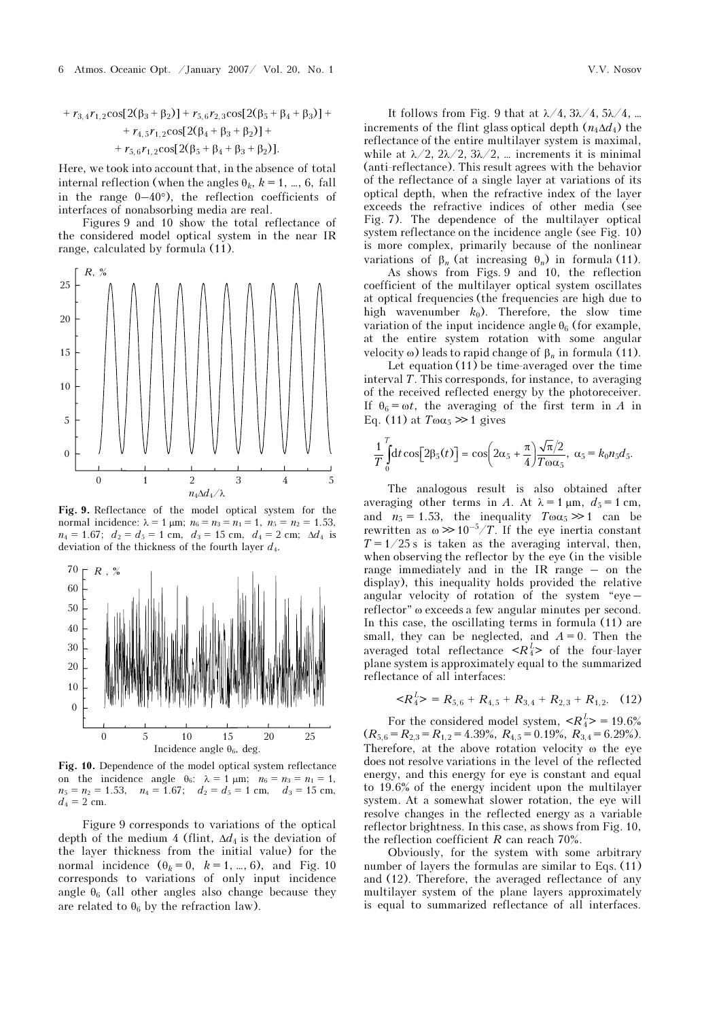6 Atmos. Oceanic Opt. /January 2007/ Vol. 20, No. 1 V.V. Nosov

+ 
$$
r_{3,4}r_{1,2}\cos[2(\beta_3 + \beta_2)] + r_{5,6}r_{2,3}\cos[2(\beta_5 + \beta_4 + \beta_3)] +
$$
  
+  $r_{4,5}r_{1,2}\cos[2(\beta_4 + \beta_3 + \beta_2)] +$   
+  $r_{5,6}r_{1,2}\cos[2(\beta_5 + \beta_4 + \beta_3 + \beta_2)].$ 

Here, we took into account that, in the absence of total internal reflection (when the angles  $\theta_k$ ,  $k = 1, ..., 6$ , fall in the range  $0-40^{\circ}$ ), the reflection coefficients of interfaces of nonabsorbing media are real.

Figures 9 and 10 show the total reflectance of the considered model optical system in the near IR range, calculated by formula (11).



Fig. 9. Reflectance of the model optical system for the normal incidence:  $\lambda = 1 \mu m$ ;  $n_6 = n_3 = n_1 = 1$ ,  $n_5 = n_2 = 1.53$ ,  $n_4 = 1.67$ ;  $d_2 = d_5 = 1$  cm,  $d_3 = 15$  cm,  $d_4 = 2$  cm;  $\Delta d_4$  is deviation of the thickness of the fourth layer  $d_4$ .



Fig. 10. Dependence of the model optical system reflectance on the incidence angle  $\theta_6$ :  $\lambda = 1 \mu m$ ;  $n_6 = n_3 = n_1 = 1$ ,  $n_5 = n_2 = 1.53$ ,  $n_4 = 1.67$ ;  $d_2 = d_5 = 1$  cm,  $d_3 = 15$  cm,  $d_4 = 2$  cm.

Figure 9 corresponds to variations of the optical depth of the medium 4 (flint,  $\Delta d_4$  is the deviation of the layer thickness from the initial value) for the normal incidence  $(\theta_k = 0, k = 1, ..., 6)$ , and Fig. 10 corresponds to variations of only input incidence angle  $\theta_6$  (all other angles also change because they are related to  $\theta_6$  by the refraction law).

It follows from Fig. 9 that at  $\lambda/4$ ,  $3\lambda/4$ ,  $5\lambda/4$ , ... increments of the flint glass optical depth  $(n_4\Delta d_4)$  the reflectance of the entire multilayer system is maximal, while at  $\lambda/2$ ,  $2\lambda/2$ ,  $3\lambda/2$ , … increments it is minimal (anti-reflectance). This result agrees with the behavior of the reflectance of a single layer at variations of its optical depth, when the refractive index of the layer exceeds the refractive indices of other media (see Fig. 7). The dependence of the multilayer optical system reflectance on the incidence angle (see Fig. 10) is more complex, primarily because of the nonlinear variations of β<sub>n</sub> (at increasing  $θ_n$ ) in formula (11).

 As shows from Figs. 9 and 10, the reflection coefficient of the multilayer optical system oscillates at optical frequencies (the frequencies are high due to high wavenumber  $k_0$ ). Therefore, the slow time variation of the input incidence angle  $\theta_6$  (for example, at the entire system rotation with some angular velocity ω) leads to rapid change of  $β_n$  in formula (11).

 Let equation (11) be time-averaged over the time interval T. This corresponds, for instance, to averaging of the received reflected energy by the photoreceiver. If  $\theta_6 = \omega t$ , the averaging of the first term in A in Eq. (11) at  $T\omega a_5 \gg 1$  gives

$$
\frac{1}{T}\int_{0}^{T} dt \cos[2\beta_5(t)] = \cos\left(2\alpha_5 + \frac{\pi}{4}\right) \frac{\sqrt{\pi}/2}{T\omega\alpha_5}, \ \alpha_5 = k_0 n_5 d_5.
$$

The analogous result is also obtained after averaging other terms in A. At  $\lambda = 1 \mu m$ ,  $d_5 = 1 \text{ cm}$ , and  $n_5 = 1.53$ , the inequality  $T\omega a_5 \gg 1$  can be rewritten as  $\omega \gg 10^{-5}/T$ . If the eye inertia constant  $T = 1/25$  s is taken as the averaging interval, then, when observing the reflector by the eye (in the visible range immediately and in the IR range – on the display), this inequality holds provided the relative angular velocity of rotation of the system "eye – reflector" ω exceeds a few angular minutes per second. In this case, the oscillating terms in formula (11) are small, they can be neglected, and  $A = 0$ . Then the averaged total reflectance  $\langle R_4^L \rangle$  of the four-layer plane system is approximately equal to the summarized reflectance of all interfaces:

$$
\langle R_4^L \rangle = R_{5,6} + R_{4,5} + R_{3,4} + R_{2,3} + R_{1,2}. \quad (12)
$$

For the considered model system,  $\langle R_4^L \rangle = 19.6\%$  $(R_{5,6} = R_{2,3} = R_{1,2} = 4.39\%, R_{4,5} = 0.19\%, R_{3,4} = 6.29\%).$ Therefore, at the above rotation velocity ω the eye does not resolve variations in the level of the reflected energy, and this energy for eye is constant and equal to 19.6% of the energy incident upon the multilayer system. At a somewhat slower rotation, the eye will resolve changes in the reflected energy as a variable reflector brightness. In this case, as shows from Fig. 10, the reflection coefficient  $R$  can reach 70%.

Obviously, for the system with some arbitrary number of layers the formulas are similar to Eqs. (11) and (12). Therefore, the averaged reflectance of any multilayer system of the plane layers approximately is equal to summarized reflectance of all interfaces.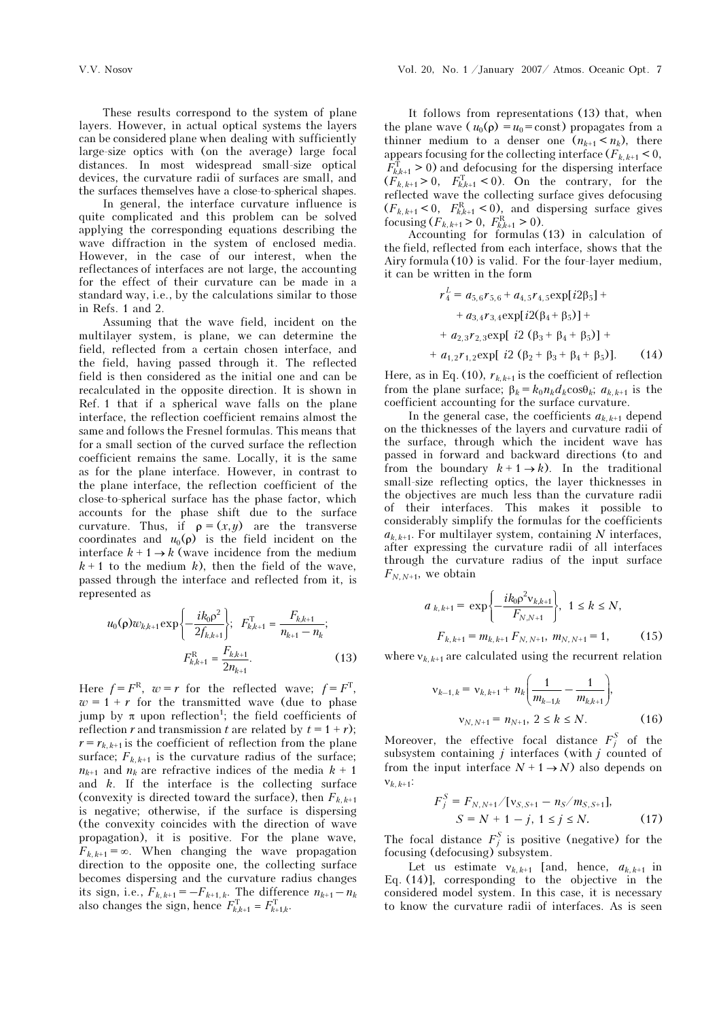These results correspond to the system of plane layers. However, in actual optical systems the layers can be considered plane when dealing with sufficiently large-size optics with (on the average) large focal distances. In most widespread small-size optical devices, the curvature radii of surfaces are small, and the surfaces themselves have a close-to-spherical shapes.

 In general, the interface curvature influence is quite complicated and this problem can be solved applying the corresponding equations describing the wave diffraction in the system of enclosed media. However, in the case of our interest, when the reflectances of interfaces are not large, the accounting for the effect of their curvature can be made in a standard way, i.e., by the calculations similar to those in Refs. 1 and 2.

Assuming that the wave field, incident on the multilayer system, is plane, we can determine the field, reflected from a certain chosen interface, and the field, having passed through it. The reflected field is then considered as the initial one and can be recalculated in the opposite direction. It is shown in Ref. 1 that if a spherical wave falls on the plane interface, the reflection coefficient remains almost the same and follows the Fresnel formulas. This means that for a small section of the curved surface the reflection coefficient remains the same. Locally, it is the same as for the plane interface. However, in contrast to the plane interface, the reflection coefficient of the close-to-spherical surface has the phase factor, which accounts for the phase shift due to the surface curvature. Thus, if  $\rho = (x, y)$  are the transverse coordinates and  $u_0(\rho)$  is the field incident on the interface  $k + 1 \rightarrow k$  (wave incidence from the medium  $k + 1$  to the medium k), then the field of the wave, passed through the interface and reflected from it, is represented as

$$
u_0(\rho)w_{k,k+1} \exp\left\{-\frac{ik_0\rho^2}{2f_{k,k+1}}\right\}; \quad F_{k,k+1}^{\mathrm{T}} = \frac{F_{k,k+1}}{n_{k+1} - n_k};
$$
  

$$
F_{k,k+1}^{\mathrm{R}} = \frac{F_{k,k+1}}{2n_{k+1}}.
$$
 (13)

Here  $f = F^R$ ,  $w = r$  for the reflected wave;  $f = F^T$ ,  $w = 1 + r$  for the transmitted wave (due to phase jump by π upon reflection<sup>1</sup>; the field coefficients of reflection r and transmission t are related by  $t = 1 + r$ );  $r = r_{k,k+1}$  is the coefficient of reflection from the plane surface;  $F_{k,k+1}$  is the curvature radius of the surface;  $n_{k+1}$  and  $n_k$  are refractive indices of the media  $k + 1$ and  $k$ . If the interface is the collecting surface (convexity is directed toward the surface), then  $F_{k,k+1}$ is negative; otherwise, if the surface is dispersing (the convexity coincides with the direction of wave propagation), it is positive. For the plane wave,  $F_{k,k+1} = \infty$ . When changing the wave propagation direction to the opposite one, the collecting surface becomes dispersing and the curvature radius changes its sign, i.e.,  $F_{k,k+1} = -F_{k+1,k}$ . The difference  $n_{k+1} - n_k$ also changes the sign, hence  $F_{k,k+1}^{\text{T}} = F_{k+1,k}^{\text{T}}$ .

It follows from representations (13) that, when the plane wave ( $u_0(\rho) = u_0 = \text{const}$ ) propagates from a thinner medium to a denser one  $(n_{k+1} < n_k)$ , there appears focusing for the collecting interface  $(F_{k,k+1} < 0,$  $F_{k,k+1}^{\mathrm{T}} > 0$  and defocusing for the dispersing interface  $(F_{k,k+1} > 0, F_{k,k+1}^T < 0)$ . On the contrary, for the reflected wave the collecting surface gives defocusing  $(F_{k,k+1} < 0, F_{k,k+1}^{\text{R}} < 0)$ , and dispersing surface gives focusing  $(F_{k, k+1} > 0, F_{k, k+1}^R > 0)$ .

Accounting for formulas (13) in calculation of the field, reflected from each interface, shows that the Airy formula (10) is valid. For the four-layer medium, it can be written in the form

$$
r_4^L = a_{5,6}r_{5,6} + a_{4,5}r_{4,5} \exp[i2\beta_5] ++ a_{3,4}r_{3,4} \exp[i2(\beta_4 + \beta_5)] ++ a_{2,3}r_{2,3} \exp[i2(\beta_3 + \beta_4 + \beta_5)] ++ a_{1,2}r_{1,2} \exp[i2(\beta_2 + \beta_3 + \beta_4 + \beta_5)]. \tag{14}
$$

Here, as in Eq. (10),  $r_{k,k+1}$  is the coefficient of reflection from the plane surface;  $\beta_k = k_0 n_k d_k \cos \theta_k$ ;  $a_{k,k+1}$  is the coefficient accounting for the surface curvature.

In the general case, the coefficients  $a_{k,k+1}$  depend on the thicknesses of the layers and curvature radii of the surface, through which the incident wave has passed in forward and backward directions (to and from the boundary  $k + 1 \rightarrow k$ ). In the traditional small-size reflecting optics, the layer thicknesses in the objectives are much less than the curvature radii of their interfaces. This makes it possible to considerably simplify the formulas for the coefficients  $a_{k,k+1}$ . For multilayer system, containing N interfaces, after expressing the curvature radii of all interfaces through the curvature radius of the input surface  $F_{N,N+1}$ , we obtain

$$
a_{k,k+1} = \exp\left\{-\frac{ik_0 \rho^2 v_{k,k+1}}{F_{N,N+1}}\right\}, \ 1 \le k \le N,
$$
  

$$
F_{k,k+1} = m_{k,k+1} F_{N,N+1}, \ m_{N,N+1} = 1,
$$
 (15)

where  $v_{k,k+1}$  are calculated using the recurrent relation

$$
v_{k-1,k} = v_{k,k+1} + n_k \left( \frac{1}{m_{k-1,k}} - \frac{1}{m_{k,k+1}} \right),
$$
  

$$
v_{N,N+1} = n_{N+1}, \ 2 \le k \le N.
$$
 (16)

Moreover, the effective focal distance  $F_j^S$  of the subsystem containing  $j$  interfaces (with  $j$  counted of from the input interface  $N + 1 \rightarrow N$ ) also depends on  $V_{k}$ ,  $k+1$ :

$$
F_j^S = F_{N,N+1}/[v_{S,S+1} - n_S/m_{S,S+1}],
$$
  

$$
S = N + 1 - j, 1 \le j \le N.
$$
 (17)

The focal distance  $F_j^S$  is positive (negative) for the focusing (defocusing) subsystem.

Let us estimate  $v_{k,k+1}$  [and, hence,  $a_{k,k+1}$  in Eq. (14)], corresponding to the objective in the considered model system. In this case, it is necessary to know the curvature radii of interfaces. As is seen